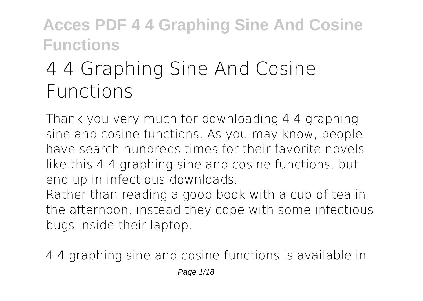# **4 4 Graphing Sine And Cosine Functions**

Thank you very much for downloading **4 4 graphing sine and cosine functions**. As you may know, people have search hundreds times for their favorite novels like this 4 4 graphing sine and cosine functions, but end up in infectious downloads.

Rather than reading a good book with a cup of tea in the afternoon, instead they cope with some infectious bugs inside their laptop.

4 4 graphing sine and cosine functions is available in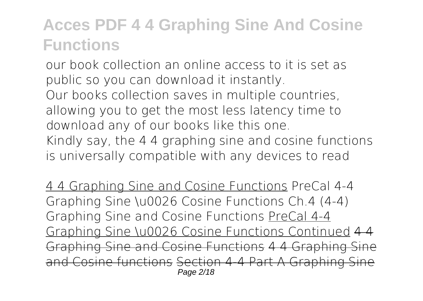our book collection an online access to it is set as public so you can download it instantly. Our books collection saves in multiple countries, allowing you to get the most less latency time to download any of our books like this one. Kindly say, the 4 4 graphing sine and cosine functions is universally compatible with any devices to read

4 4 Graphing Sine and Cosine Functions *PreCal 4-4 Graphing Sine \u0026 Cosine Functions Ch.4 (4-4) Graphing Sine and Cosine Functions* PreCal 4-4 Graphing Sine \u0026 Cosine Functions Continued 4 4 Graphing Sine and Cosine Functions 4 4 Graphing Cosine functions Section 4-4 Part A Graphing Page 2/18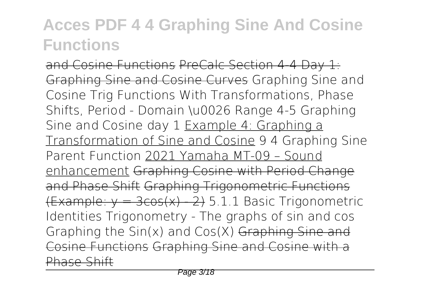and Cosine Functions PreCalc Section 4-4 Day 1: Graphing Sine and Cosine Curves *Graphing Sine and Cosine Trig Functions With Transformations, Phase Shifts, Period - Domain \u0026 Range 4-5 Graphing Sine and Cosine day 1* Example 4: Graphing a Transformation of Sine and Cosine **9 4 Graphing Sine Parent Function** 2021 Yamaha MT-09 – Sound enhancement Graphing Cosine with Period Change and Phase Shift Graphing Trigonometric Functions  $Example: v = 3cos(x) - 2$  5.1.1 Basic Trigonometric Identities Trigonometry - The graphs of sin and cos **Graphing the Sin(x) and Cos(X)** Graphing Sine and Cosine Functions Graphing Sine and Cosine with a Phase Shift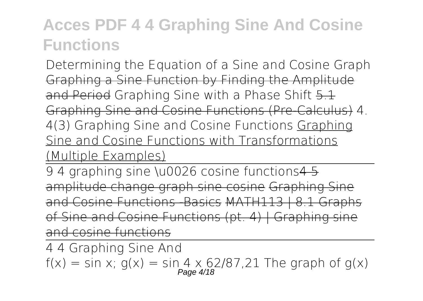Determining the Equation of a Sine and Cosine Graph Graphing a Sine Function by Finding the Amplitude and Period **Graphing Sine with a Phase Shift** 5.1 Graphing Sine and Cosine Functions (Pre-Calculus) **4. 4(3) Graphing Sine and Cosine Functions** Graphing Sine and Cosine Functions with Transformations (Multiple Examples)

9 4 graphing sine \u0026 cosine functions 4 5 amplitude change graph sine cosine Graphing Sine and Cosine Functions Basics MATH113 | 8.1 Graphs of Sine and Cosine Functions (pt. 4) | Graphing sine and cosine functions

4 4 Graphing Sine And  $f(x) = \sin x$ ;  $g(x) = \sin 4 \times 62/87.21$  The graph of  $g(x)$ <br>Page 4/18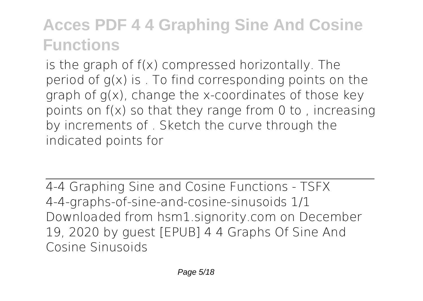is the graph of f(x) compressed horizontally. The period of  $q(x)$  is . To find corresponding points on the graph of g(x), change the x-coordinates of those key points on f(x) so that they range from 0 to , increasing by increments of . Sketch the curve through the indicated points for

4-4 Graphing Sine and Cosine Functions - TSFX 4-4-graphs-of-sine-and-cosine-sinusoids 1/1 Downloaded from hsm1.signority.com on December 19, 2020 by guest [EPUB] 4 4 Graphs Of Sine And Cosine Sinusoids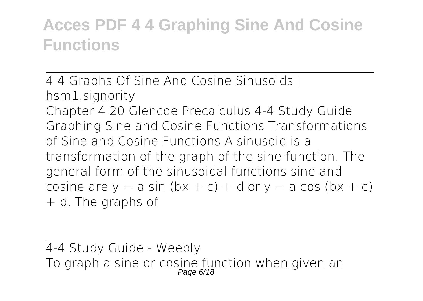4 4 Graphs Of Sine And Cosine Sinusoids | hsm1.signority Chapter 4 20 Glencoe Precalculus 4-4 Study Guide Graphing Sine and Cosine Functions Transformations of Sine and Cosine Functions A sinusoid is a transformation of the graph of the sine function. The general form of the sinusoidal functions sine and cosine are  $y = a \sin (bx + c) + d$  or  $y = a \cos (bx + c)$ + d. The graphs of

4-4 Study Guide - Weebly To graph a sine or cosine function when given an<br>Page 6/18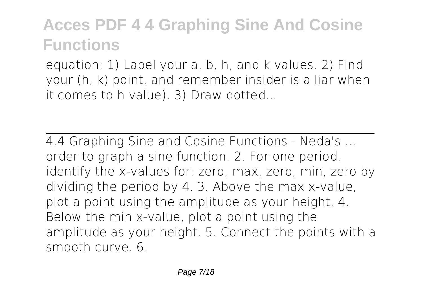equation: 1) Label your a, b, h, and k values. 2) Find your (h, k) point, and remember insider is a liar when it comes to h value). 3) Draw dotted...

4.4 Graphing Sine and Cosine Functions - Neda's ... order to graph a sine function. 2. For one period, identify the x-values for: zero, max, zero, min, zero by dividing the period by 4. 3. Above the max x-value, plot a point using the amplitude as your height. 4. Below the min x-value, plot a point using the amplitude as your height. 5. Connect the points with a smooth curve. 6.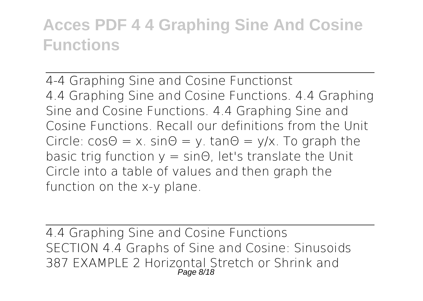4-4 Graphing Sine and Cosine Functionst 4.4 Graphing Sine and Cosine Functions. 4.4 Graphing Sine and Cosine Functions. 4.4 Graphing Sine and Cosine Functions. Recall our definitions from the Unit Circle:  $cos\theta = x$ .  $sin\theta = y$ .  $tan\theta = y/x$ . To graph the basic trig function  $y = sin\Theta$ , let's translate the Unit Circle into a table of values and then graph the function on the x-y plane.

4.4 Graphing Sine and Cosine Functions SECTION 4.4 Graphs of Sine and Cosine: Sinusoids 387 EXAMPLE 2 Horizontal Stretch or Shrink and Page 8/18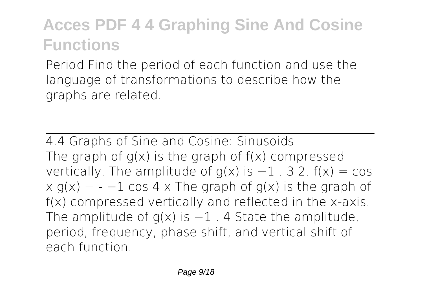Period Find the period of each function and use the language of transformations to describe how the graphs are related.

4.4 Graphs of Sine and Cosine: Sinusoids The graph of  $g(x)$  is the graph of  $f(x)$  compressed vertically. The amplitude of  $q(x)$  is  $-1$  . 3 2.  $f(x) = \cos(x)$  $x g(x) = -1 \cos 4 x$  The graph of  $g(x)$  is the graph of f(x) compressed vertically and reflected in the x-axis. The amplitude of  $q(x)$  is  $-1$  . 4 State the amplitude, period, frequency, phase shift, and vertical shift of each function.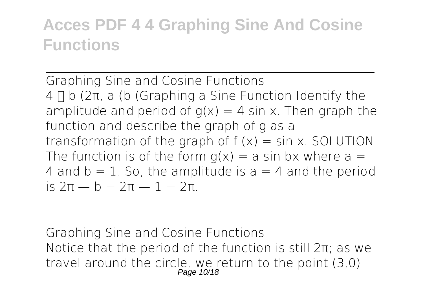Graphing Sine and Cosine Functions  $4 \Pi b$  (2π, a (b) (Graphing a Sine Function Identify the amplitude and period of  $q(x) = 4 \sin x$ . Then graph the function and describe the graph of g as a transformation of the graph of  $f(x) = \sin x$ . SOLUTION The function is of the form  $q(x) = a \sin bx$  where  $a =$ 4 and  $b = 1$ . So, the amplitude is  $a = 4$  and the period is 2π — b = 2π — 1 = 2π.

Graphing Sine and Cosine Functions Notice that the period of the function is still 2π; as we travel around the circle, we return to the point (3,0)<br>Page 10/18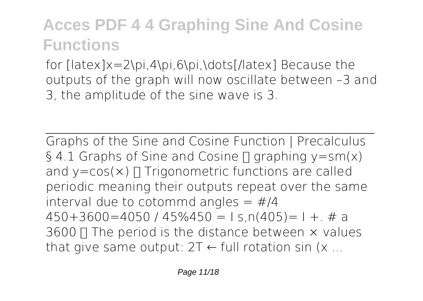for [latex]x=2\pi,4\pi,6\pi,\dots[/latex] Because the outputs of the graph will now oscillate between –3 and 3, the amplitude of the sine wave is 3.

Graphs of the Sine and Cosine Function | Precalculus § 4.1 Graphs of Sine and Cosine  $\Pi$  graphing y=sm(x) and  $y = cos(x)$   $\Box$  Trigonometric functions are called periodic meaning their outputs repeat over the same interval due to cotommd angles  $=$  #/4  $450+3600=4050$  /  $45\%450 = 1$  s, n(405) = 1 +. # a  $3600 \Pi$  The period is the distance between  $\times$  values that give same output:  $2T \leftarrow$  full rotation sin (x ...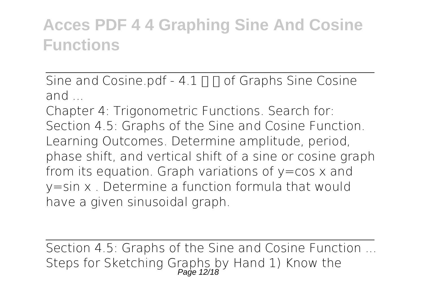Sine and Cosine.pdf -  $4.1 \Pi \Pi$  of Graphs Sine Cosine and ...

Chapter 4: Trigonometric Functions. Search for: Section 4.5: Graphs of the Sine and Cosine Function. Learning Outcomes. Determine amplitude, period, phase shift, and vertical shift of a sine or cosine graph from its equation. Graph variations of  $y = cos x$  and y=sin x . Determine a function formula that would have a given sinusoidal graph.

Section 4.5: Graphs of the Sine and Cosine Function ... Steps for Sketching Graphs by Hand 1) Know the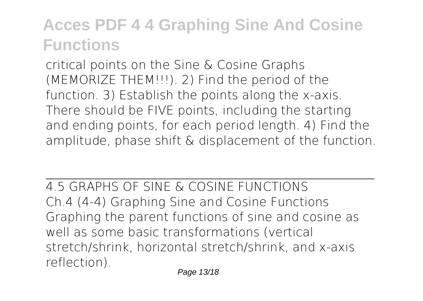critical points on the Sine & Cosine Graphs (MEMORIZE THEM!!!). 2) Find the period of the function. 3) Establish the points along the x-axis. There should be FIVE points, including the starting and ending points, for each period length. 4) Find the amplitude, phase shift & displacement of the function.

4.5 GRAPHS OF SINE & COSINE FUNCTIONS Ch.4 (4-4) Graphing Sine and Cosine Functions Graphing the parent functions of sine and cosine as well as some basic transformations (vertical stretch/shrink, horizontal stretch/shrink, and x-axis reflection).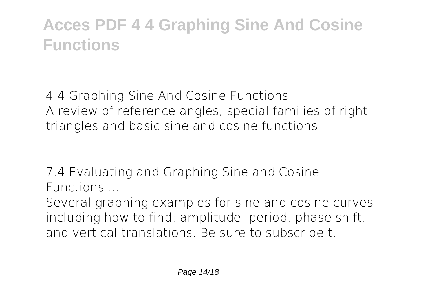4 4 Graphing Sine And Cosine Functions A review of reference angles, special families of right triangles and basic sine and cosine functions

7.4 Evaluating and Graphing Sine and Cosine Functions ...

Several graphing examples for sine and cosine curves including how to find: amplitude, period, phase shift, and vertical translations. Be sure to subscribe t.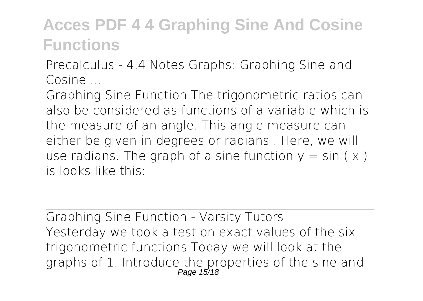Precalculus - 4.4 Notes Graphs: Graphing Sine and Cosine

Graphing Sine Function The trigonometric ratios can also be considered as functions of a variable which is the measure of an angle. This angle measure can either be given in degrees or radians . Here, we will use radians. The graph of a sine function  $y = \sin(x)$ is looks like this:

Graphing Sine Function - Varsity Tutors Yesterday we took a test on exact values of the six trigonometric functions Today we will look at the graphs of 1. Introduce the properties of the sine and<br>Page 15/18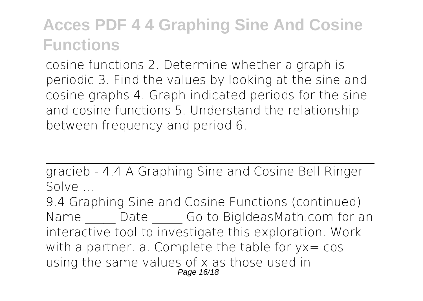cosine functions 2. Determine whether a graph is periodic 3. Find the values by looking at the sine and cosine graphs 4. Graph indicated periods for the sine and cosine functions 5. Understand the relationship between frequency and period 6.

gracieb - 4.4 A Graphing Sine and Cosine Bell Ringer Solve ...

9.4 Graphing Sine and Cosine Functions (continued) Name Date Go to BigIdeasMath.com for an interactive tool to investigate this exploration. Work with a partner. a. Complete the table for  $yx = \cos x$ using the same values of x as those used in Page 16/18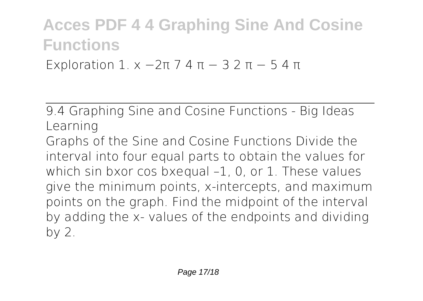Exploration 1.  $x - 2π 7 4 π - 3 2 π - 5 4 π$ 

9.4 Graphing Sine and Cosine Functions - Big Ideas Learning

Graphs of the Sine and Cosine Functions Divide the interval into four equal parts to obtain the values for which sin bxor cos bxequal –1, 0, or 1. These values give the minimum points, x-intercepts, and maximum points on the graph. Find the midpoint of the interval by adding the x- values of the endpoints and dividing by 2.